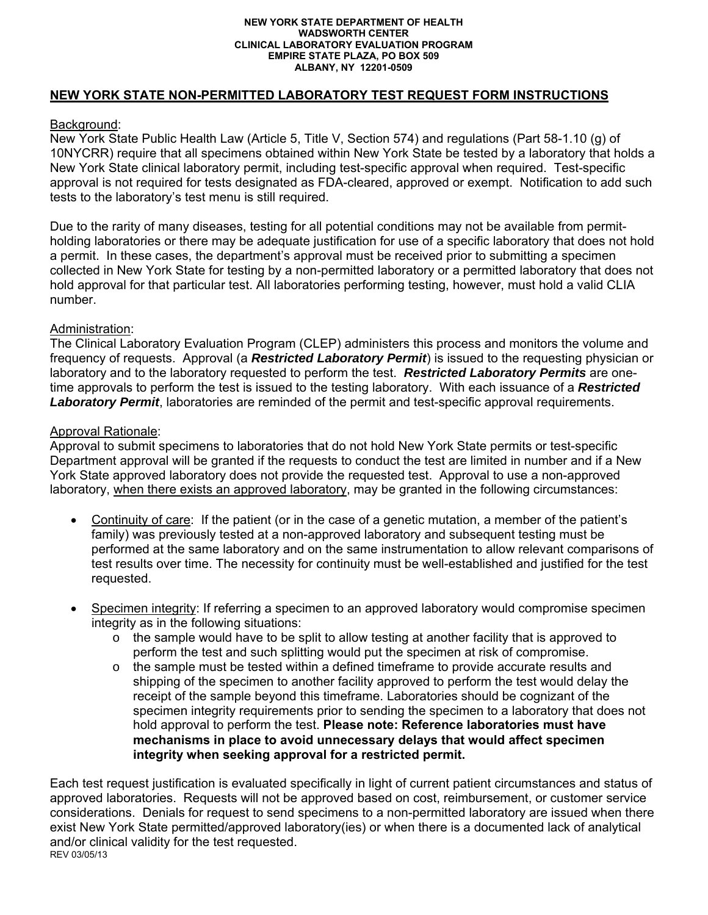#### **NEW YORK STATE DEPARTMENT OF HEALTH WADSWORTH CENTER CLINICAL LABORATORY EVALUATION PROGRAM EMPIRE STATE PLAZA, PO BOX 509 ALBANY, NY 12201-0509**

## **NEW YORK STATE NON-PERMITTED LABORATORY TEST REQUEST FORM INSTRUCTIONS**

### Background:

New York State Public Health Law (Article 5, Title V, Section 574) and regulations (Part 58-1.10 (g) of 10NYCRR) require that all specimens obtained within New York State be tested by a laboratory that holds a New York State clinical laboratory permit, including test-specific approval when required. Test-specific approval is not required for tests designated as FDA-cleared, approved or exempt. Notification to add such tests to the laboratory's test menu is still required.

Due to the rarity of many diseases, testing for all potential conditions may not be available from permitholding laboratories or there may be adequate justification for use of a specific laboratory that does not hold a permit. In these cases, the department's approval must be received prior to submitting a specimen collected in New York State for testing by a non-permitted laboratory or a permitted laboratory that does not hold approval for that particular test. All laboratories performing testing, however, must hold a valid CLIA number.

## Administration:

The Clinical Laboratory Evaluation Program (CLEP) administers this process and monitors the volume and frequency of requests. Approval (a *Restricted Laboratory Permit*) is issued to the requesting physician or laboratory and to the laboratory requested to perform the test. *Restricted Laboratory Permits* are onetime approvals to perform the test is issued to the testing laboratory. With each issuance of a *Restricted Laboratory Permit*, laboratories are reminded of the permit and test-specific approval requirements.

## Approval Rationale:

Approval to submit specimens to laboratories that do not hold New York State permits or test-specific Department approval will be granted if the requests to conduct the test are limited in number and if a New York State approved laboratory does not provide the requested test. Approval to use a non-approved laboratory, when there exists an approved laboratory, may be granted in the following circumstances:

- Continuity of care: If the patient (or in the case of a genetic mutation, a member of the patient's family) was previously tested at a non-approved laboratory and subsequent testing must be performed at the same laboratory and on the same instrumentation to allow relevant comparisons of test results over time. The necessity for continuity must be well-established and justified for the test requested.
- Specimen integrity: If referring a specimen to an approved laboratory would compromise specimen integrity as in the following situations:
	- $\circ$  the sample would have to be split to allow testing at another facility that is approved to perform the test and such splitting would put the specimen at risk of compromise.
	- o the sample must be tested within a defined timeframe to provide accurate results and shipping of the specimen to another facility approved to perform the test would delay the receipt of the sample beyond this timeframe. Laboratories should be cognizant of the specimen integrity requirements prior to sending the specimen to a laboratory that does not hold approval to perform the test. **Please note: Reference laboratories must have mechanisms in place to avoid unnecessary delays that would affect specimen integrity when seeking approval for a restricted permit.**

REV 03/05/13 Each test request justification is evaluated specifically in light of current patient circumstances and status of approved laboratories. Requests will not be approved based on cost, reimbursement, or customer service considerations. Denials for request to send specimens to a non-permitted laboratory are issued when there exist New York State permitted/approved laboratory(ies) or when there is a documented lack of analytical and/or clinical validity for the test requested.